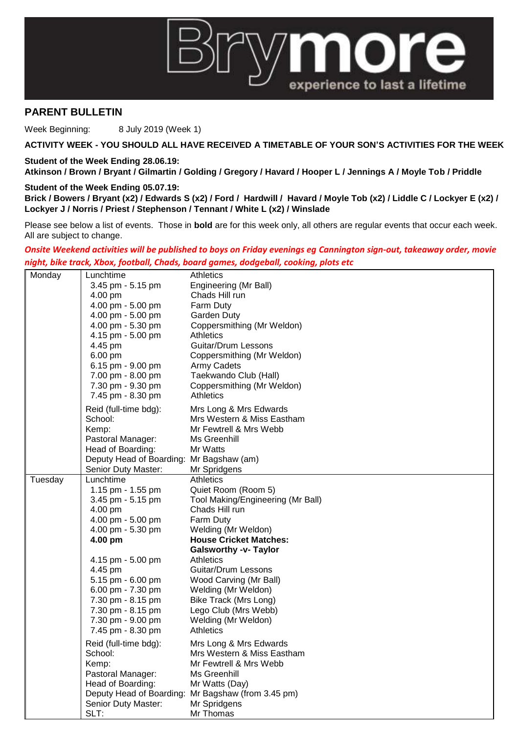

## **PARENT BULLETIN**

Week Beginning: 8 July 2019 (Week 1)

**ACTIVITY WEEK - YOU SHOULD ALL HAVE RECEIVED A TIMETABLE OF YOUR SON'S ACTIVITIES FOR THE WEEK**

**Student of the Week Ending 28.06.19:**

**Atkinson / Brown / Bryant / Gilmartin / Golding / Gregory / Havard / Hooper L / Jennings A / Moyle Tob / Priddle**

## **Student of the Week Ending 05.07.19:**

**Brick / Bowers / Bryant (x2) / Edwards S (x2) / Ford / Hardwill / Havard / Moyle Tob (x2) / Liddle C / Lockyer E (x2) / Lockyer J / Norris / Priest / Stephenson / Tennant / White L (x2) / Winslade** 

Please see below a list of events. Those in **bold** are for this week only, all others are regular events that occur each week. All are subject to change.

*Onsite Weekend activities will be published to boys on Friday evenings eg Cannington sign-out, takeaway order, movie night, bike track, Xbox, football, Chads, board games, dodgeball, cooking, plots etc*

| Monday  | Lunchtime                                | Athletics                                          |
|---------|------------------------------------------|----------------------------------------------------|
|         | 3.45 pm - 5.15 pm                        | Engineering (Mr Ball)                              |
|         | 4.00 pm                                  | Chads Hill run                                     |
|         | 4.00 pm - 5.00 pm                        | <b>Farm Duty</b>                                   |
|         | 4.00 pm - 5.00 pm                        | <b>Garden Duty</b>                                 |
|         | 4.00 pm - 5.30 pm                        | Coppersmithing (Mr Weldon)                         |
|         | 4.15 pm - 5.00 pm                        | <b>Athletics</b>                                   |
|         | 4.45 pm                                  | Guitar/Drum Lessons                                |
|         | 6.00 pm                                  | Coppersmithing (Mr Weldon)                         |
|         | 6.15 pm - 9.00 pm                        | <b>Army Cadets</b>                                 |
|         | 7.00 pm - 8.00 pm                        | Taekwando Club (Hall)                              |
|         | 7.30 pm - 9.30 pm                        | Coppersmithing (Mr Weldon)                         |
|         | 7.45 pm - 8.30 pm                        | Athletics                                          |
|         | Reid (full-time bdg):                    | Mrs Long & Mrs Edwards                             |
|         | School:                                  | Mrs Western & Miss Eastham                         |
|         | Kemp:                                    | Mr Fewtrell & Mrs Webb                             |
|         | Pastoral Manager:                        | Ms Greenhill                                       |
|         | Head of Boarding:                        | Mr Watts                                           |
|         | Deputy Head of Boarding: Mr Bagshaw (am) |                                                    |
|         | Senior Duty Master:                      | Mr Spridgens                                       |
| Tuesday | Lunchtime                                | Athletics                                          |
|         | 1.15 pm - 1.55 pm                        | Quiet Room (Room 5)                                |
|         | 3.45 pm - 5.15 pm                        | Tool Making/Engineering (Mr Ball)                  |
|         | 4.00 pm                                  | Chads Hill run                                     |
|         | 4.00 pm - 5.00 pm                        | Farm Duty                                          |
|         | 4.00 pm - 5.30 pm                        | Welding (Mr Weldon)                                |
|         | 4.00 pm                                  | <b>House Cricket Matches:</b>                      |
|         |                                          | <b>Galsworthy -v- Taylor</b>                       |
|         | 4.15 pm - 5.00 pm                        | <b>Athletics</b>                                   |
|         | 4.45 pm                                  | Guitar/Drum Lessons                                |
|         | 5.15 pm - 6.00 pm                        | Wood Carving (Mr Ball)                             |
|         | 6.00 pm - 7.30 pm                        | Welding (Mr Weldon)                                |
|         | 7.30 pm - 8.15 pm                        | Bike Track (Mrs Long)                              |
|         | 7.30 pm - 8.15 pm                        | Lego Club (Mrs Webb)                               |
|         | 7.30 pm - 9.00 pm                        | Welding (Mr Weldon)                                |
|         | 7.45 pm - 8.30 pm                        | Athletics                                          |
|         | Reid (full-time bdg):                    | Mrs Long & Mrs Edwards                             |
|         | School:                                  | Mrs Western & Miss Eastham                         |
|         | Kemp:                                    | Mr Fewtrell & Mrs Webb                             |
|         | Pastoral Manager:                        | Ms Greenhill                                       |
|         | Head of Boarding:                        | Mr Watts (Day)                                     |
|         |                                          | Deputy Head of Boarding: Mr Bagshaw (from 3.45 pm) |
|         | Senior Duty Master:                      | Mr Spridgens                                       |
|         | SLT:                                     | Mr Thomas                                          |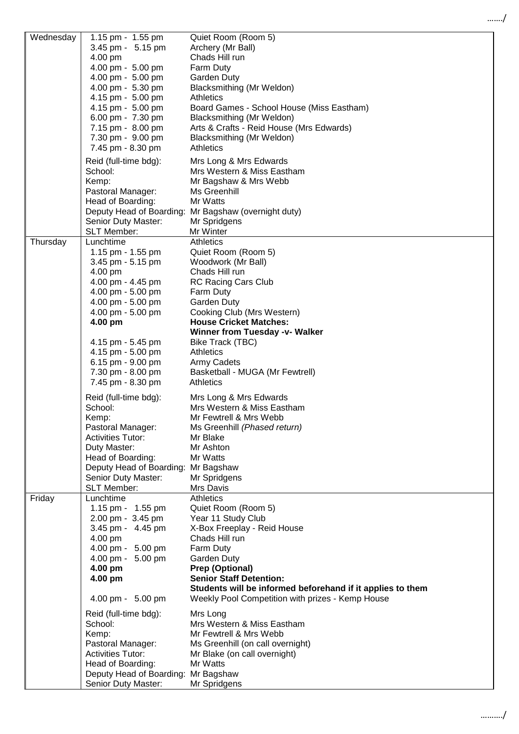|          | 3.45 pm - 5.15 pm<br>4.00 pm<br>4.00 pm - 5.00 pm<br>4.00 pm - 5.00 pm<br>4.00 pm - 5.30 pm<br>4.15 pm - 5.00 pm<br>4.15 pm - 5.00 pm<br>6.00 pm - 7.30 pm<br>7.15 pm - 8.00 pm<br>7.30 pm - 9.00 pm<br>7.45 pm - 8.30 pm                                              | Archery (Mr Ball)<br>Chads Hill run<br>Farm Duty<br>Garden Duty<br>Blacksmithing (Mr Weldon)<br><b>Athletics</b><br>Board Games - School House (Miss Eastham)<br>Blacksmithing (Mr Weldon)<br>Arts & Crafts - Reid House (Mrs Edwards)<br>Blacksmithing (Mr Weldon)<br><b>Athletics</b>                                                                               |
|----------|------------------------------------------------------------------------------------------------------------------------------------------------------------------------------------------------------------------------------------------------------------------------|-----------------------------------------------------------------------------------------------------------------------------------------------------------------------------------------------------------------------------------------------------------------------------------------------------------------------------------------------------------------------|
|          | Reid (full-time bdg):<br>School:<br>Kemp:<br>Pastoral Manager:<br>Head of Boarding:<br>Deputy Head of Boarding:<br>Senior Duty Master:<br><b>SLT Member:</b>                                                                                                           | Mrs Long & Mrs Edwards<br>Mrs Western & Miss Eastham<br>Mr Bagshaw & Mrs Webb<br>Ms Greenhill<br>Mr Watts<br>Mr Bagshaw (overnight duty)<br>Mr Spridgens                                                                                                                                                                                                              |
| Thursday | Lunchtime<br>1.15 pm - 1.55 pm<br>3.45 pm - 5.15 pm<br>4.00 pm<br>4.00 pm - 4.45 pm<br>4.00 pm - 5.00 pm<br>4.00 pm - 5.00 pm<br>4.00 pm - 5.00 pm<br>4.00 pm<br>4.15 pm - 5.45 pm<br>4.15 pm - 5.00 pm<br>6.15 pm - 9.00 pm<br>7.30 pm - 8.00 pm<br>7.45 pm - 8.30 pm | Mr Winter<br><b>Athletics</b><br>Quiet Room (Room 5)<br>Woodwork (Mr Ball)<br>Chads Hill run<br><b>RC Racing Cars Club</b><br>Farm Duty<br>Garden Duty<br>Cooking Club (Mrs Western)<br><b>House Cricket Matches:</b><br><b>Winner from Tuesday -v- Walker</b><br>Bike Track (TBC)<br>Athletics<br>Army Cadets<br>Basketball - MUGA (Mr Fewtrell)<br><b>Athletics</b> |
|          | Reid (full-time bdg):<br>School:<br>Kemp:<br>Pastoral Manager:<br><b>Activities Tutor:</b><br>Duty Master:<br>Head of Boarding:<br>Deputy Head of Boarding:<br>Senior Duty Master:<br><b>SLT Member:</b>                                                               | Mrs Long & Mrs Edwards<br>Mrs Western & Miss Eastham<br>Mr Fewtrell & Mrs Webb<br>Ms Greenhill (Phased return)<br>Mr Blake<br>Mr Ashton<br>Mr Watts<br>Mr Bagshaw<br>Mr Spridgens<br>Mrs Davis                                                                                                                                                                        |
| Friday   | Lunchtime<br>1.15 pm - 1.55 pm<br>2.00 pm - 3.45 pm<br>3.45 pm - 4.45 pm<br>4.00 pm<br>4.00 pm - 5.00 pm<br>4.00 pm - 5.00 pm<br>4.00 pm<br>4.00 pm<br>4.00 pm - 5.00 pm                                                                                               | Athletics<br>Quiet Room (Room 5)<br>Year 11 Study Club<br>X-Box Freeplay - Reid House<br>Chads Hill run<br>Farm Duty<br>Garden Duty<br><b>Prep (Optional)</b><br><b>Senior Staff Detention:</b><br>Students will be informed beforehand if it applies to them<br>Weekly Pool Competition with prizes - Kemp House                                                     |
|          | Reid (full-time bdg):<br>School:<br>Kemp:<br>Pastoral Manager:<br><b>Activities Tutor:</b><br>Head of Boarding:                                                                                                                                                        | Mrs Long<br>Mrs Western & Miss Eastham<br>Mr Fewtrell & Mrs Webb<br>Ms Greenhill (on call overnight)<br>Mr Blake (on call overnight)<br>Mr Watts                                                                                                                                                                                                                      |

Wednesday | 1.15 pm - 1.55 pm Quiet Room (Room 5)

Deputy Head of Boarding: Mr Bagshaw Senior Duty Master: Mr Spridgens